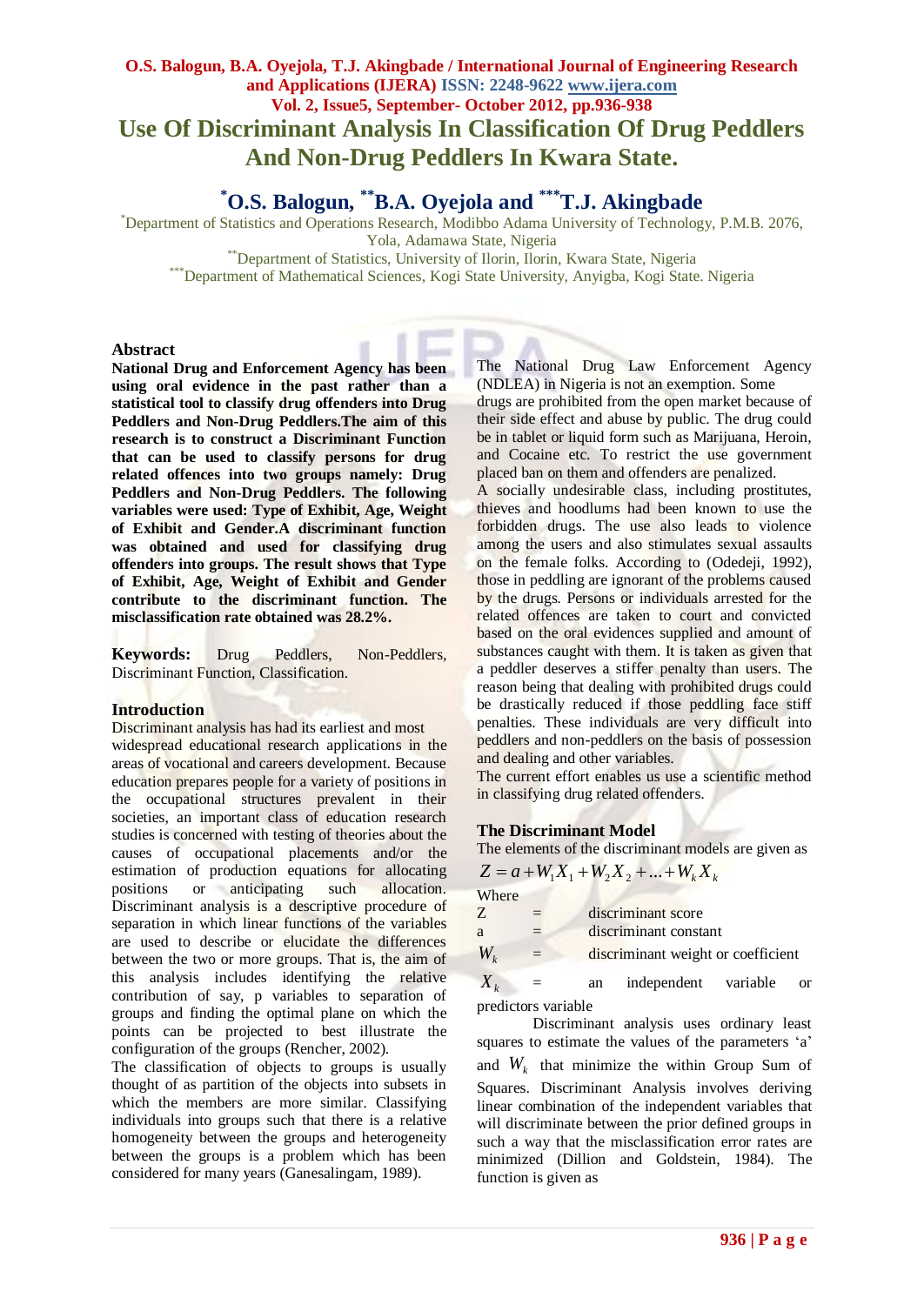# **O.S. Balogun, B.A. Oyejola, T.J. Akingbade / International Journal of Engineering Research and Applications (IJERA) ISSN: 2248-9622 www.ijera.com Vol. 2, Issue5, September- October 2012, pp.936-938 Use Of Discriminant Analysis In Classification Of Drug Peddlers And Non-Drug Peddlers In Kwara State.**

**\*O.S. Balogun, \*\*B.A. Oyejola and \*\*\*T.J. Akingbade**

\*Department of Statistics and Operations Research, Modibbo Adama University of Technology, P.M.B. 2076, Yola, Adamawa State, Nigeria

\*\*Department of Statistics, University of Ilorin, Ilorin, Kwara State, Nigeria

\*\*\*Department of Mathematical Sciences, Kogi State University, Anyigba, Kogi State. Nigeria

#### **Abstract**

**National Drug and Enforcement Agency has been using oral evidence in the past rather than a statistical tool to classify drug offenders into Drug Peddlers and Non-Drug Peddlers.The aim of this research is to construct a Discriminant Function that can be used to classify persons for drug related offences into two groups namely: Drug Peddlers and Non-Drug Peddlers. The following variables were used: Type of Exhibit, Age, Weight of Exhibit and Gender.A discriminant function was obtained and used for classifying drug offenders into groups. The result shows that Type of Exhibit, Age, Weight of Exhibit and Gender contribute to the discriminant function. The misclassification rate obtained was 28.2%.**

**Keywords:** Drug Peddlers, Non-Peddlers, Discriminant Function, Classification.

#### **Introduction**

Discriminant analysis has had its earliest and most widespread educational research applications in the areas of vocational and careers development. Because education prepares people for a variety of positions in the occupational structures prevalent in their societies, an important class of education research studies is concerned with testing of theories about the causes of occupational placements and/or the estimation of production equations for allocating positions or anticipating such allocation. Discriminant analysis is a descriptive procedure of separation in which linear functions of the variables are used to describe or elucidate the differences between the two or more groups. That is, the aim of this analysis includes identifying the relative contribution of say, p variables to separation of groups and finding the optimal plane on which the points can be projected to best illustrate the configuration of the groups (Rencher, 2002).

The classification of objects to groups is usually thought of as partition of the objects into subsets in which the members are more similar. Classifying individuals into groups such that there is a relative homogeneity between the groups and heterogeneity between the groups is a problem which has been considered for many years (Ganesalingam, 1989).

The National Drug Law Enforcement Agency (NDLEA) in Nigeria is not an exemption. Some drugs are prohibited from the open market because of their side effect and abuse by public. The drug could be in tablet or liquid form such as Marijuana, Heroin, and Cocaine etc. To restrict the use government placed ban on them and offenders are penalized.

A socially undesirable class, including prostitutes, thieves and hoodlums had been known to use the forbidden drugs. The use also leads to violence among the users and also stimulates sexual assaults on the female folks. According to (Odedeji, 1992), those in peddling are ignorant of the problems caused by the drugs. Persons or individuals arrested for the related offences are taken to court and convicted based on the oral evidences supplied and amount of substances caught with them. It is taken as given that a peddler deserves a stiffer penalty than users. The reason being that dealing with prohibited drugs could be drastically reduced if those peddling face stiff penalties. These individuals are very difficult into peddlers and non-peddlers on the basis of possession and dealing and other variables.

The current effort enables us use a scientific method in classifying drug related offenders.

#### **The Discriminant Model**

|             |     | The elements of the discriminant models are given as |
|-------------|-----|------------------------------------------------------|
|             |     | $Z = a + W_1 X_1 + W_2 X_2 +  + W_k X_k$             |
| Where       |     |                                                      |
| Z           | $=$ | discriminant score                                   |
| a           | $=$ | discriminant constant                                |
| $W_{\iota}$ | $=$ | discriminant weight or coefficient                   |

 $X_k$  = an independent variable or predictors variable

Discriminant analysis uses ordinary least squares to estimate the values of the parameters 'a' and  $W_k$  that minimize the within Group Sum of Squares. Discriminant Analysis involves deriving linear combination of the independent variables that will discriminate between the prior defined groups in such a way that the misclassification error rates are minimized (Dillion and Goldstein, 1984). The function is given as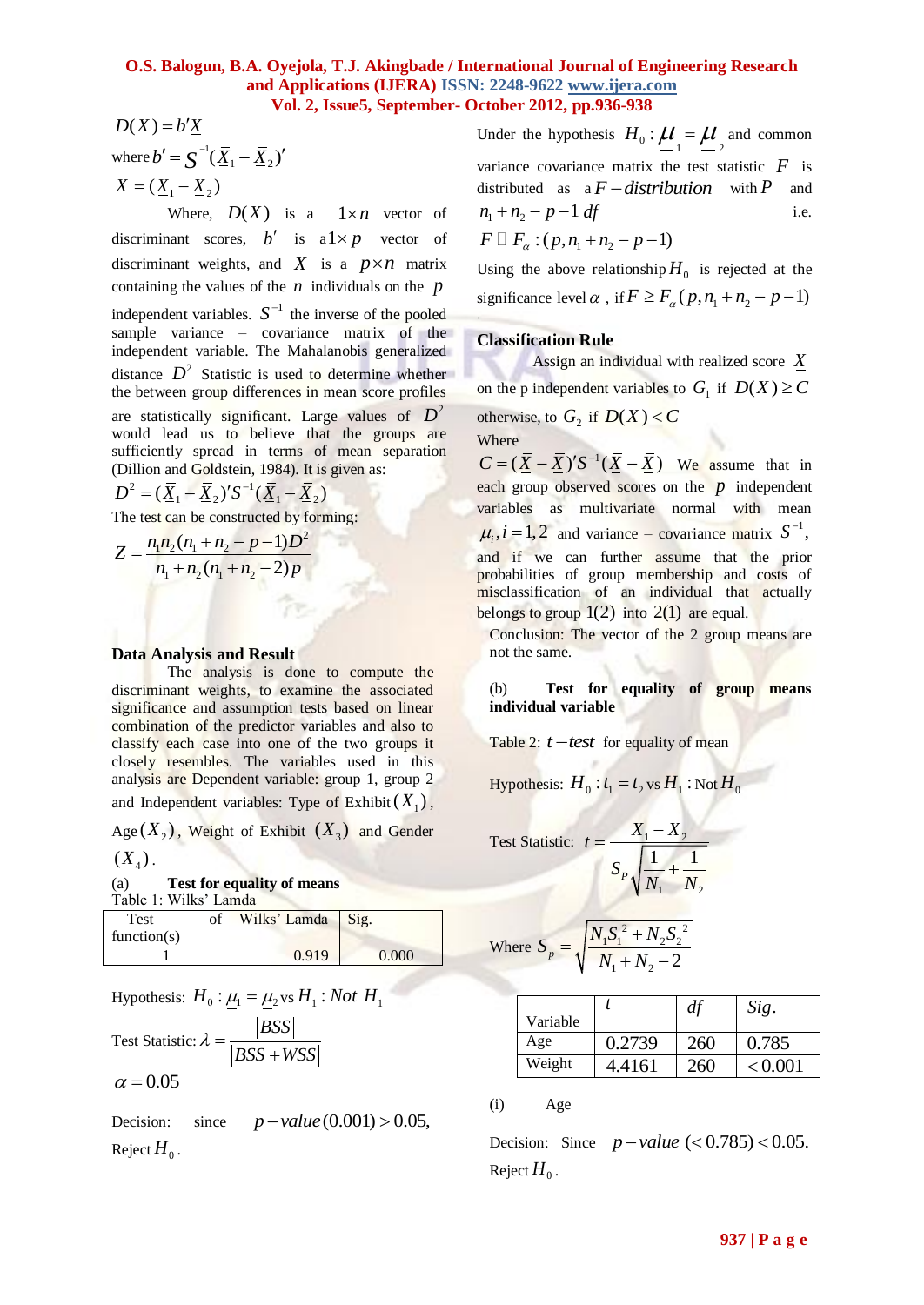## **O.S. Balogun, B.A. Oyejola, T.J. Akingbade / International Journal of Engineering Research and Applications (IJERA) ISSN: 2248-9622 www.ijera.com Vol. 2, Issue5, September- October 2012, pp.936-938**

 $D(X) = b'X$ where  $b' = \int_0^{-1} (\overline{\underline{X}}_1 - \overline{\underline{X}}_2)'$  $X = (\overline{X}_1 - \overline{X}_2)$ 

 $D(X) = bX$ <br>  $\frac{dX}{dx} = \sum_{n=1}^{N} \frac{X}{N} = \sum_{n=1}^{N} \frac{X}{N} = \sum_{n=1}^{N} \frac{X}{N} = \sum_{n=1}^{N} \frac{X}{N} = \sum_{n=1}^{N} \frac{X}{N} = \sum_{n=1}^{N} \frac{X}{N} = \sum_{n=1}^{N} \frac{X}{N} = \sum_{n=1}^{N} \frac{X}{N} = \sum_{n=1}^{N} \frac{X}{N} = \sum_{n=1}^{N} \frac{X}{N} = \sum_{n=1}^{N} \frac{X}{N} = \sum_{$ Where,  $D(X)$  is a  $1 \times n$  vector of discriminant scores,  $b'$  is  $a1 \times p$  vector of discriminant weights, and  $X$  is a  $p \times n$  matrix containing the values of the  $n$  individuals on the  $p$ independent variables.  $S^{-1}$  the inverse of the pooled sample variance – covariance matrix of the independent variable. The Mahalanobis generalized distance  $D^2$  Statistic is used to determine whether the between group differences in mean score profiles are statistically significant. Large values of  $D^2$ would lead us to believe that the groups are sufficiently spread in terms of mean separation (Dillion and Goldstein, 1984). It is given as:

Diffion and **Colustem**, 1984). It is<br> $D^2 = (\underline{\bar{X}}_1 - \underline{\bar{X}}_2)' S^{-1} (\underline{\bar{X}}_1 - \underline{\bar{X}}_2)$ 

The test can be constructed by forming:  
\n
$$
Z = \frac{n_1 n_2 (n_1 + n_2 - p - 1)D^2}{n_1 + n_2 (n_1 + n_2 - 2) p}
$$

#### **Data Analysis and Result**

The analysis is done to compute the discriminant weights, to examine the associated significance and assumption tests based on linear combination of the predictor variables and also to classify each case into one of the two groups it closely resembles. The variables used in this analysis are Dependent variable: group 1, group 2 and Independent variables: Type of Exhibit  $(X_1)$ ,

Age  $(X_2)$ , Weight of Exhibit  $(X_3)$  and Gender  $(X_4)$ .

| (a) | <b>Test for equality of means</b> |
|-----|-----------------------------------|
|     | Table 1: Wilks' Lamda             |

| Test<br>function(s) | of | Wilks' Lamda Sig. |       |
|---------------------|----|-------------------|-------|
|                     |    | 0.919             | 0.000 |

Hypothesis: 
$$
H_0: \underline{\mu}_1 = \underline{\mu}_2
$$
 vs  $H_1: Not H_1$ 

Test Statistic: 
$$
\lambda = \frac{|BSS|}{|BSS + WSS|}
$$

$$
\alpha\,{=}\,0.05
$$

Decision: since  $p-value(0.001) > 0.05$ , Reject  $H_0$  .

Under the hypothesis  $H_0: \mathcal{U}_1 = \mathcal{U}_2$  and common variance covariance matrix the test statistic  $F$  is distributed as  $a F-distribution$  with P and  $n_1 + n_2 - p - 1$  *df* i.e.

$$
F \, \Box \, F_{\alpha} : (p, n_1 + n_2 - p - 1)
$$

Using the above relationship  $H_0$  is rejected at the significance level  $\alpha$ , if  $F \ge F_\alpha(p, n_1 + n_2 - p - 1)$ .

#### **Classification Rule**

Assign an individual with realized score *X* on the p independent variables to  $G_1$  if  $D(X) \ge C$ otherwise, to  $G_2$  if  $D(X) < C$ Where

 $C = (\overline{X} - \overline{X})' S^{-1} (\overline{X} - \overline{X})$  We assume that in each group observed scores on the  $p$  independent variables as multivariate normal with mean  $\mu_i$ ,  $i = 1, 2$  and variance – covariance matrix  $S^{-1}$ , and if we can further assume that the prior probabilities of group membership and costs of misclassification of an individual that actually belongs to group  $1(2)$  into  $2(1)$  are equal.

Conclusion: The vector of the 2 group means are not the same.

(b) **Test for equality of group means individual variable**

Table 2:  $t$  -test for equality of mean

Hypothesis:  $H_0: t_1 = t_2$  vs  $H_1$ : Not  $H_0$ 

Test Statistic: 
$$
t = \frac{\overline{X}_1 - \overline{X}_2}{S_P \sqrt{\frac{1}{N_1} + \frac{1}{N_2}}}
$$

Where 
$$
S_p = \sqrt{\frac{N_1 S_1^2 + N_2 S_2^2}{N_1 + N_2 - 2}}
$$

| Variable |        | df  | Sig.    |
|----------|--------|-----|---------|
| Age      | 0.2739 | 260 | 0.785   |
| Weight   | 4.4161 | 260 | < 0.001 |

(i) Age

Decision: Since  $p-value$  (< 0.785) < 0.05. Reject  $H_0$  .